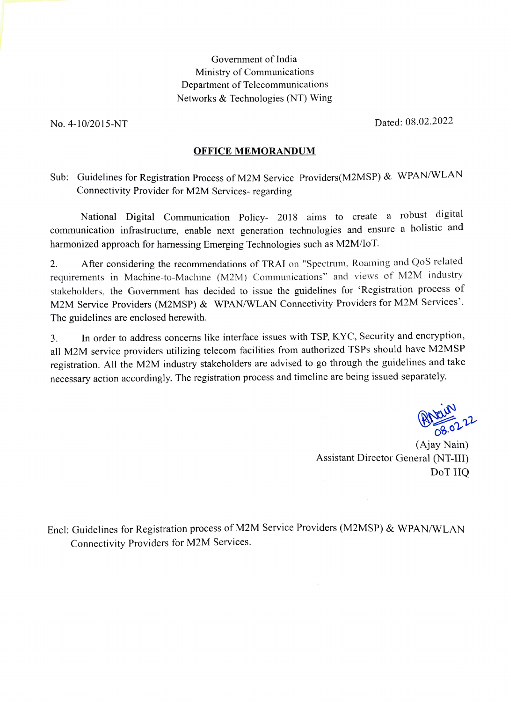#### Government of India Ministry of Communications Department of Telecommunications Networks & Technologies (NT) Wing

No. 4-10/2015-NT Dated: 08.02.2022

#### OFFICE MEMORANDUM

Sub: Guidelines for Registration Process of M2M Service Providers(M2MSP) & WPAN/WLAN Connectivity Provider for M2M Services- regarding

National Digital Communication Policy- 2018 aims to create a robust digital communication infrastructure, enable next generation technologies and ensure a holistic and harmonized approach for harnessing Emerging Technologies such as M2M/loT.

After considering the recommendations of TRAI on "Spectrum, Roaming and QoS related requirements in Machine-to-Machine (M2M) Communications" and views of M2M industry stakeholders. the Government has decided to issue the guidelines for 'Registration process of M2M Service Providers (M2MSP) & WPAN/WLAN Connectivity Providers for M2M Services'. The guidelines are enclosed herewith. 2.

3. In order to address concerns ike interface issues with TSP, KYC, Security and eneryption, all M2M service providers utilizing telecom facilities from authorized TSPs should have M2MSP registration. All the M2M industry stakeholders arc advised to go through the guidelines and take necessary action accordingly. The registration process and timeline are being issued separately.

 $22.22$ 

(Ajay Nain) Assistant Director General (NT-1I1) DoT HQ

Encl: Guidelines for Registration process of M2M Service Providers (M2MSP) & WPAN/WLAN Connectivity Providers for M2M Services.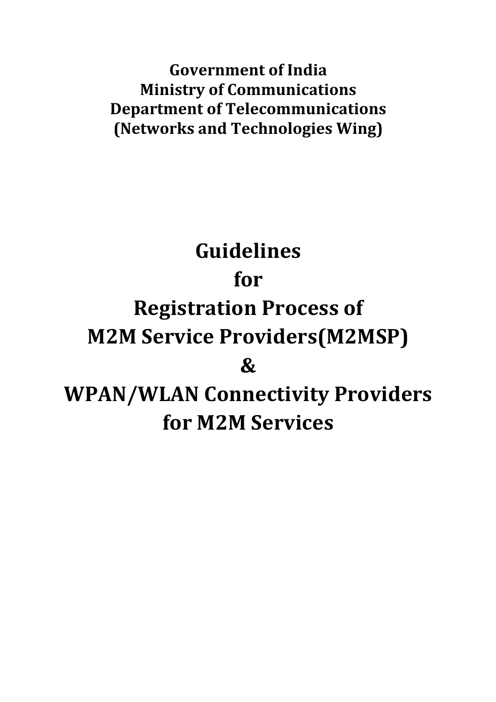**Government of India Ministry of Communications Department of Telecommunications (Networks and Technologies Wing)**

# **Guidelines for Registration Process of M2M Service Providers(M2MSP) & WPAN/WLAN Connectivity Providers for M2M Services**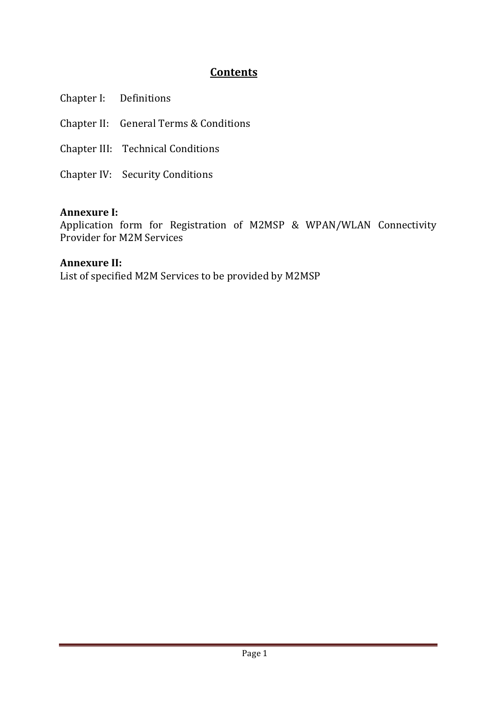# **Contents**

Chapter I: Definitions

Chapter II: General Terms & Conditions

Chapter III: Technical Conditions

Chapter IV: Security Conditions

# **Annexure I:**

Application form for Registration of M2MSP & WPAN/WLAN Connectivity Provider for M2M Services

# **Annexure II:**

List of specified M2M Services to be provided by M2MSP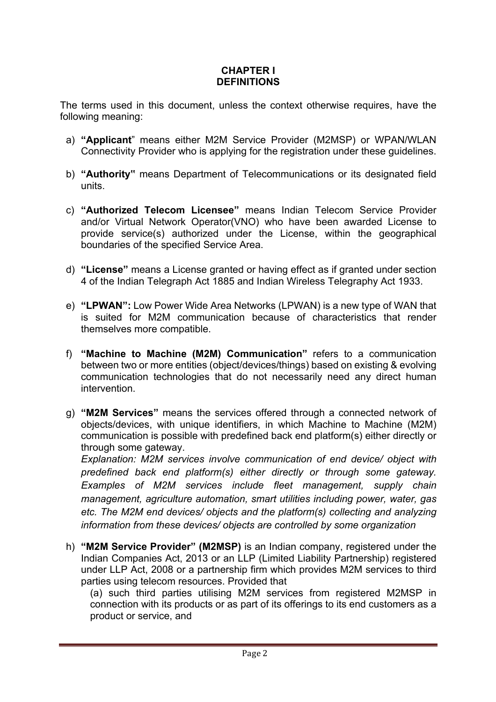## **CHAPTER I DEFINITIONS**

The terms used in this document, unless the context otherwise requires, have the following meaning:

- a) **"Applicant**" means either M2M Service Provider (M2MSP) or WPAN/WLAN Connectivity Provider who is applying for the registration under these guidelines.
- b) **"Authority"** means Department of Telecommunications or its designated field units.
- c) **"Authorized Telecom Licensee"** means Indian Telecom Service Provider and/or Virtual Network Operator(VNO) who have been awarded License to provide service(s) authorized under the License, within the geographical boundaries of the specified Service Area.
- d) **"License"** means a License granted or having effect as if granted under section 4 of the Indian Telegraph Act 1885 and Indian Wireless Telegraphy Act 1933.
- e) **"LPWAN":** Low Power Wide Area Networks (LPWAN) is a new type of WAN that is suited for M2M communication because of characteristics that render themselves more compatible.
- f) **"Machine to Machine (M2M) Communication"** refers to a communication between two or more entities (object/devices/things) based on existing & evolving communication technologies that do not necessarily need any direct human intervention.
- g) **"M2M Services"** means the services offered through a connected network of objects/devices, with unique identifiers, in which Machine to Machine (M2M) communication is possible with predefined back end platform(s) either directly or through some gateway.

*Explanation: M2M services involve communication of end device/ object with predefined back end platform(s) either directly or through some gateway. Examples of M2M services include fleet management, supply chain management, agriculture automation, smart utilities including power, water, gas etc. The M2M end devices/ objects and the platform(s) collecting and analyzing information from these devices/ objects are controlled by some organization*

h) **"M2M Service Provider" (M2MSP)** is an Indian company, registered under the Indian Companies Act, 2013 or an LLP (Limited Liability Partnership) registered under LLP Act, 2008 or a partnership firm which provides M2M services to third parties using telecom resources. Provided that

(a) such third parties utilising M2M services from registered M2MSP in connection with its products or as part of its offerings to its end customers as a product or service, and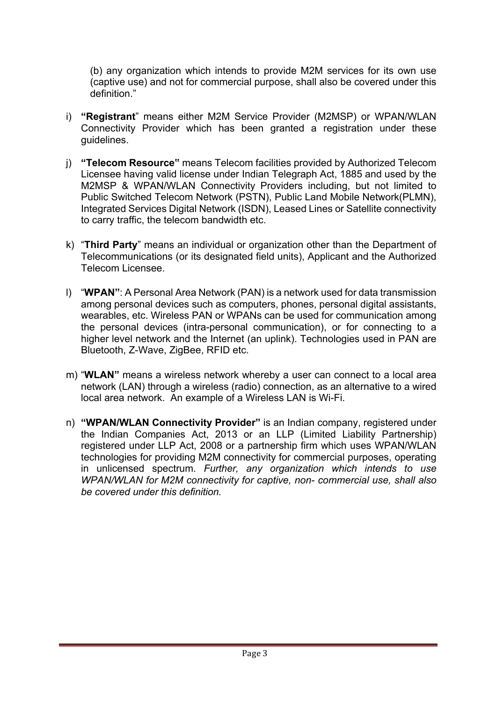(b) any organization which intends to provide M2M services for its own use (captive use) and not for commercial purpose, shall also be covered under this definition."

- i) **"Registrant**" means either M2M Service Provider (M2MSP) or WPAN/WLAN Connectivity Provider which has been granted a registration under these guidelines.
- j) **"Telecom Resource"** means Telecom facilities provided by Authorized Telecom Licensee having valid license under Indian Telegraph Act, 1885 and used by the M2MSP & WPAN/WLAN Connectivity Providers including, but not limited to Public Switched Telecom Network (PSTN), Public Land Mobile Network(PLMN), Integrated Services Digital Network (ISDN), Leased Lines or Satellite connectivity to carry traffic, the telecom bandwidth etc.
- k) "**Third Party**" means an individual or organization other than the Department of Telecommunications (or its designated field units), Applicant and the Authorized Telecom Licensee.
- l) "**WPAN"**: A Personal Area Network (PAN) is a network used for data transmission among personal devices such as computers, phones, personal digital assistants, wearables, etc. Wireless PAN or WPANs can be used for communication among the personal devices (intra-personal communication), or for connecting to a higher level network and the Internet (an uplink). Technologies used in PAN are Bluetooth, Z-Wave, ZigBee, RFID etc.
- m) "**WLAN"** means a wireless network whereby a user can connect to a local area network (LAN) through a wireless (radio) connection, as an alternative to a wired local area network. An example of a Wireless LAN is Wi-Fi.
- n) **"WPAN/WLAN Connectivity Provider"** is an Indian company, registered under the Indian Companies Act, 2013 or an LLP (Limited Liability Partnership) registered under LLP Act, 2008 or a partnership firm which uses WPAN/WLAN technologies for providing M2M connectivity for commercial purposes, operating in unlicensed spectrum. *Further, any organization which intends to use WPAN/WLAN for M2M connectivity for captive, non- commercial use, shall also be covered under this definition.*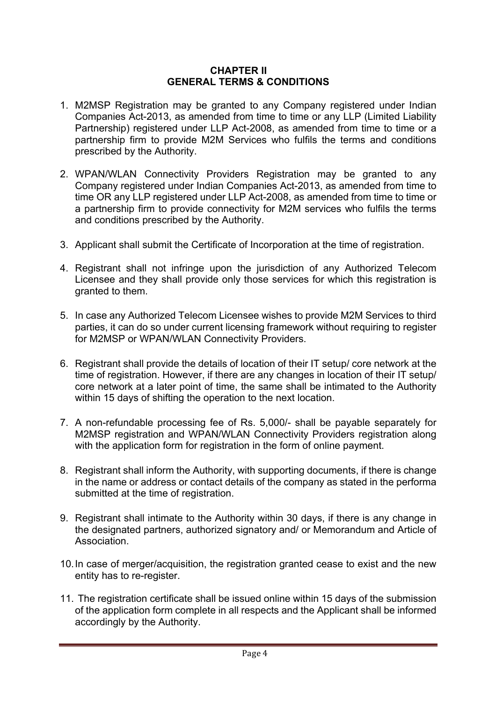#### **CHAPTER II GENERAL TERMS & CONDITIONS**

- 1. M2MSP Registration may be granted to any Company registered under Indian Companies Act-2013, as amended from time to time or any LLP (Limited Liability Partnership) registered under LLP Act-2008, as amended from time to time or a partnership firm to provide M2M Services who fulfils the terms and conditions prescribed by the Authority.
- 2. WPAN/WLAN Connectivity Providers Registration may be granted to any Company registered under Indian Companies Act-2013, as amended from time to time OR any LLP registered under LLP Act-2008, as amended from time to time or a partnership firm to provide connectivity for M2M services who fulfils the terms and conditions prescribed by the Authority.
- 3. Applicant shall submit the Certificate of Incorporation at the time of registration.
- 4. Registrant shall not infringe upon the jurisdiction of any Authorized Telecom Licensee and they shall provide only those services for which this registration is granted to them.
- 5. In case any Authorized Telecom Licensee wishes to provide M2M Services to third parties, it can do so under current licensing framework without requiring to register for M2MSP or WPAN/WLAN Connectivity Providers.
- 6. Registrant shall provide the details of location of their IT setup/ core network at the time of registration. However, if there are any changes in location of their IT setup/ core network at a later point of time, the same shall be intimated to the Authority within 15 days of shifting the operation to the next location.
- 7. A non-refundable processing fee of Rs. 5,000/- shall be payable separately for M2MSP registration and WPAN/WLAN Connectivity Providers registration along with the application form for registration in the form of online payment.
- 8. Registrant shall inform the Authority, with supporting documents, if there is change in the name or address or contact details of the company as stated in the performa submitted at the time of registration.
- 9. Registrant shall intimate to the Authority within 30 days, if there is any change in the designated partners, authorized signatory and/ or Memorandum and Article of Association.
- 10.In case of merger/acquisition, the registration granted cease to exist and the new entity has to re-register.
- 11. The registration certificate shall be issued online within 15 days of the submission of the application form complete in all respects and the Applicant shall be informed accordingly by the Authority.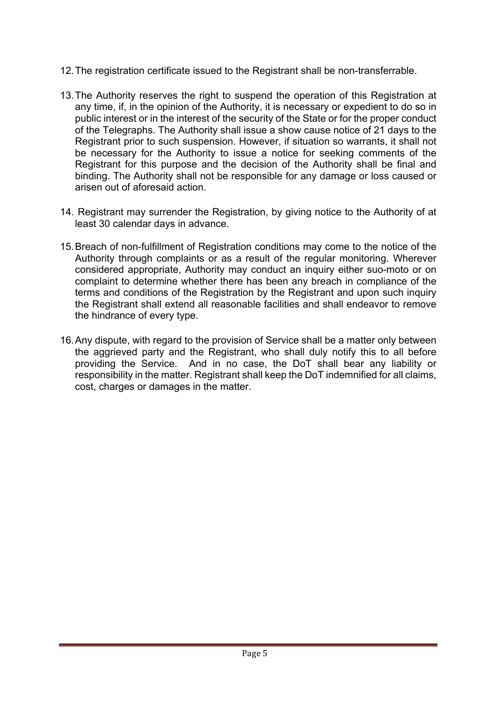- 12.The registration certificate issued to the Registrant shall be non-transferrable.
- 13.The Authority reserves the right to suspend the operation of this Registration at any time, if, in the opinion of the Authority, it is necessary or expedient to do so in public interest or in the interest of the security of the State or for the proper conduct of the Telegraphs. The Authority shall issue a show cause notice of 21 days to the Registrant prior to such suspension. However, if situation so warrants, it shall not be necessary for the Authority to issue a notice for seeking comments of the Registrant for this purpose and the decision of the Authority shall be final and binding. The Authority shall not be responsible for any damage or loss caused or arisen out of aforesaid action.
- 14. Registrant may surrender the Registration, by giving notice to the Authority of at least 30 calendar days in advance.
- 15.Breach of non-fulfillment of Registration conditions may come to the notice of the Authority through complaints or as a result of the regular monitoring. Wherever considered appropriate, Authority may conduct an inquiry either suo-moto or on complaint to determine whether there has been any breach in compliance of the terms and conditions of the Registration by the Registrant and upon such inquiry the Registrant shall extend all reasonable facilities and shall endeavor to remove the hindrance of every type.
- 16.Any dispute, with regard to the provision of Service shall be a matter only between the aggrieved party and the Registrant, who shall duly notify this to all before providing the Service. And in no case, the DoT shall bear any liability or responsibility in the matter. Registrant shall keep the DoT indemnified for all claims, cost, charges or damages in the matter.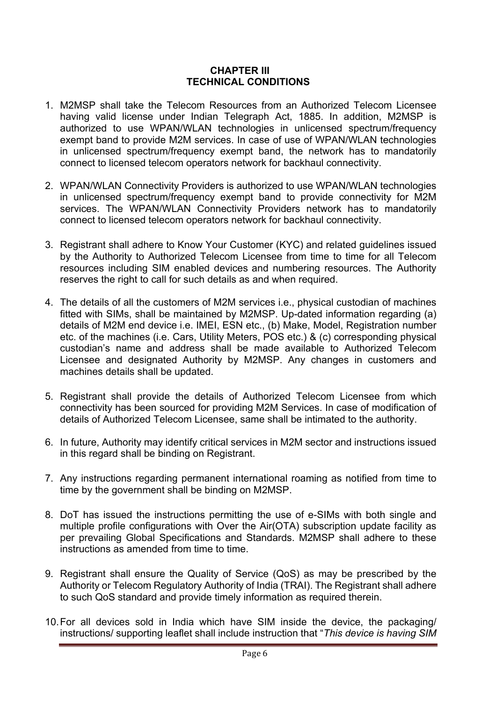#### **CHAPTER III TECHNICAL CONDITIONS**

- 1. M2MSP shall take the Telecom Resources from an Authorized Telecom Licensee having valid license under Indian Telegraph Act, 1885. In addition, M2MSP is authorized to use WPAN/WLAN technologies in unlicensed spectrum/frequency exempt band to provide M2M services. In case of use of WPAN/WLAN technologies in unlicensed spectrum/frequency exempt band, the network has to mandatorily connect to licensed telecom operators network for backhaul connectivity.
- 2. WPAN/WLAN Connectivity Providers is authorized to use WPAN/WLAN technologies in unlicensed spectrum/frequency exempt band to provide connectivity for M2M services. The WPAN/WLAN Connectivity Providers network has to mandatorily connect to licensed telecom operators network for backhaul connectivity.
- 3. Registrant shall adhere to Know Your Customer (KYC) and related guidelines issued by the Authority to Authorized Telecom Licensee from time to time for all Telecom resources including SIM enabled devices and numbering resources. The Authority reserves the right to call for such details as and when required.
- 4. The details of all the customers of M2M services i.e., physical custodian of machines fitted with SIMs, shall be maintained by M2MSP. Up-dated information regarding (a) details of M2M end device i.e. IMEI, ESN etc., (b) Make, Model, Registration number etc. of the machines (i.e. Cars, Utility Meters, POS etc.) & (c) corresponding physical custodian's name and address shall be made available to Authorized Telecom Licensee and designated Authority by M2MSP. Any changes in customers and machines details shall be updated.
- 5. Registrant shall provide the details of Authorized Telecom Licensee from which connectivity has been sourced for providing M2M Services. In case of modification of details of Authorized Telecom Licensee, same shall be intimated to the authority.
- 6. In future, Authority may identify critical services in M2M sector and instructions issued in this regard shall be binding on Registrant.
- 7. Any instructions regarding permanent international roaming as notified from time to time by the government shall be binding on M2MSP.
- 8. DoT has issued the instructions permitting the use of e-SIMs with both single and multiple profile configurations with Over the Air(OTA) subscription update facility as per prevailing Global Specifications and Standards. M2MSP shall adhere to these instructions as amended from time to time.
- 9. Registrant shall ensure the Quality of Service (QoS) as may be prescribed by the Authority or Telecom Regulatory Authority of India (TRAI). The Registrant shall adhere to such QoS standard and provide timely information as required therein.
- 10.For all devices sold in India which have SIM inside the device, the packaging/ instructions/ supporting leaflet shall include instruction that "*This device is having SIM*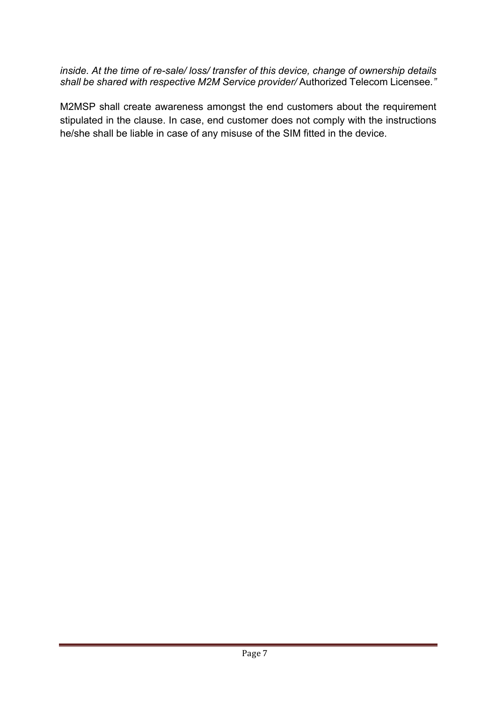*inside. At the time of re-sale/ loss/ transfer of this device, change of ownership details shall be shared with respective M2M Service provider/* Authorized Telecom Licensee*."*

M2MSP shall create awareness amongst the end customers about the requirement stipulated in the clause. In case, end customer does not comply with the instructions he/she shall be liable in case of any misuse of the SIM fitted in the device.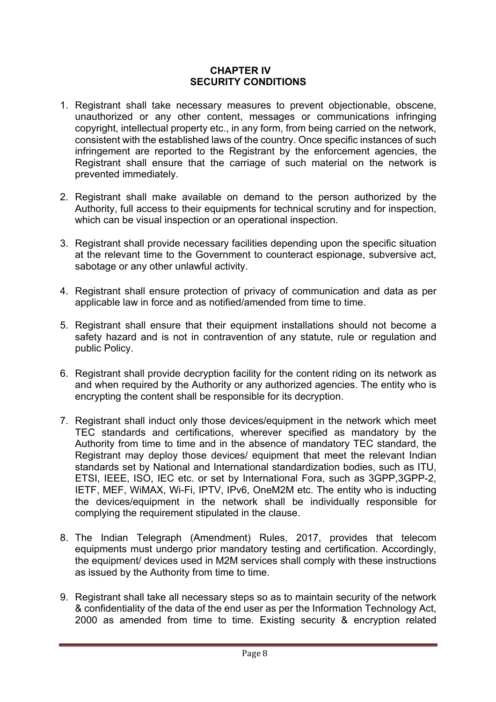### **CHAPTER IV SECURITY CONDITIONS**

- 1. Registrant shall take necessary measures to prevent objectionable, obscene, unauthorized or any other content, messages or communications infringing copyright, intellectual property etc., in any form, from being carried on the network, consistent with the established laws of the country. Once specific instances of such infringement are reported to the Registrant by the enforcement agencies, the Registrant shall ensure that the carriage of such material on the network is prevented immediately.
- 2. Registrant shall make available on demand to the person authorized by the Authority, full access to their equipments for technical scrutiny and for inspection, which can be visual inspection or an operational inspection.
- 3. Registrant shall provide necessary facilities depending upon the specific situation at the relevant time to the Government to counteract espionage, subversive act, sabotage or any other unlawful activity.
- 4. Registrant shall ensure protection of privacy of communication and data as per applicable law in force and as notified/amended from time to time.
- 5. Registrant shall ensure that their equipment installations should not become a safety hazard and is not in contravention of any statute, rule or regulation and public Policy.
- 6. Registrant shall provide decryption facility for the content riding on its network as and when required by the Authority or any authorized agencies. The entity who is encrypting the content shall be responsible for its decryption.
- 7. Registrant shall induct only those devices/equipment in the network which meet TEC standards and certifications, wherever specified as mandatory by the Authority from time to time and in the absence of mandatory TEC standard, the Registrant may deploy those devices/ equipment that meet the relevant Indian standards set by National and International standardization bodies, such as ITU, ETSI, IEEE, ISO, IEC etc. or set by International Fora, such as 3GPP,3GPP-2, IETF, MEF, WiMAX, Wi-Fi, IPTV, IPv6, OneM2M etc. The entity who is inducting the devices/equipment in the network shall be individually responsible for complying the requirement stipulated in the clause.
- 8. The Indian Telegraph (Amendment) Rules, 2017, provides that telecom equipments must undergo prior mandatory testing and certification. Accordingly, the equipment/ devices used in M2M services shall comply with these instructions as issued by the Authority from time to time.
- 9. Registrant shall take all necessary steps so as to maintain security of the network & confidentiality of the data of the end user as per the Information Technology Act, 2000 as amended from time to time. Existing security & encryption related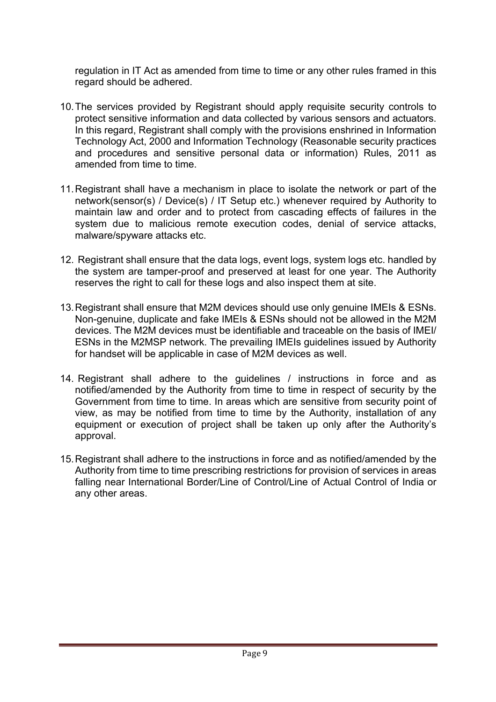regulation in IT Act as amended from time to time or any other rules framed in this regard should be adhered.

- 10.The services provided by Registrant should apply requisite security controls to protect sensitive information and data collected by various sensors and actuators. In this regard, Registrant shall comply with the provisions enshrined in Information Technology Act, 2000 and Information Technology (Reasonable security practices and procedures and sensitive personal data or information) Rules, 2011 as amended from time to time.
- 11.Registrant shall have a mechanism in place to isolate the network or part of the network(sensor(s) / Device(s) / IT Setup etc.) whenever required by Authority to maintain law and order and to protect from cascading effects of failures in the system due to malicious remote execution codes, denial of service attacks, malware/spyware attacks etc.
- 12. Registrant shall ensure that the data logs, event logs, system logs etc. handled by the system are tamper-proof and preserved at least for one year. The Authority reserves the right to call for these logs and also inspect them at site.
- 13.Registrant shall ensure that M2M devices should use only genuine IMEIs & ESNs. Non-genuine, duplicate and fake IMEIs & ESNs should not be allowed in the M2M devices. The M2M devices must be identifiable and traceable on the basis of IMEI/ ESNs in the M2MSP network. The prevailing IMEIs guidelines issued by Authority for handset will be applicable in case of M2M devices as well.
- 14. Registrant shall adhere to the guidelines / instructions in force and as notified/amended by the Authority from time to time in respect of security by the Government from time to time. In areas which are sensitive from security point of view, as may be notified from time to time by the Authority, installation of any equipment or execution of project shall be taken up only after the Authority's approval.
- 15.Registrant shall adhere to the instructions in force and as notified/amended by the Authority from time to time prescribing restrictions for provision of services in areas falling near International Border/Line of Control/Line of Actual Control of India or any other areas.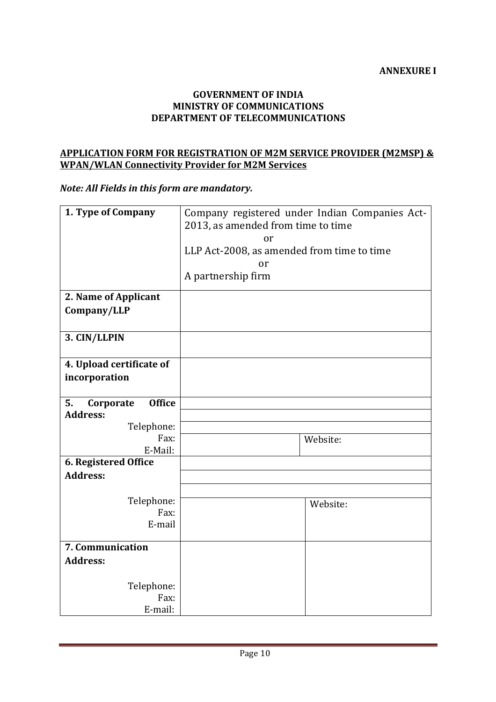#### **GOVERNMENT OF INDIA MINISTRY OF COMMUNICATIONS DEPARTMENT OF TELECOMMUNICATIONS**

#### **APPLICATION FORM FOR REGISTRATION OF M2M SERVICE PROVIDER (M2MSP) & WPAN/WLAN Connectivity Provider for M2M Services**

*Note: All Fields in this form are mandatory.* 

| 1. Type of Company               | Company registered under Indian Companies Act- |  |
|----------------------------------|------------------------------------------------|--|
|                                  | 2013, as amended from time to time             |  |
|                                  | or                                             |  |
|                                  | LLP Act-2008, as amended from time to time     |  |
|                                  | or                                             |  |
|                                  | A partnership firm                             |  |
| 2. Name of Applicant             |                                                |  |
| Company/LLP                      |                                                |  |
|                                  |                                                |  |
| 3. CIN/LLPIN                     |                                                |  |
|                                  |                                                |  |
| 4. Upload certificate of         |                                                |  |
| incorporation                    |                                                |  |
| <b>Office</b><br>5.<br>Corporate |                                                |  |
| <b>Address:</b>                  |                                                |  |
| Telephone:                       |                                                |  |
| Fax:                             | Website:                                       |  |
| E-Mail:                          |                                                |  |
| 6. Registered Office             |                                                |  |
| <b>Address:</b>                  |                                                |  |
|                                  |                                                |  |
| Telephone:                       | Website:                                       |  |
| Fax:                             |                                                |  |
| E-mail                           |                                                |  |
| 7. Communication                 |                                                |  |
| <b>Address:</b>                  |                                                |  |
|                                  |                                                |  |
| Telephone:                       |                                                |  |
| Fax:                             |                                                |  |
| E-mail:                          |                                                |  |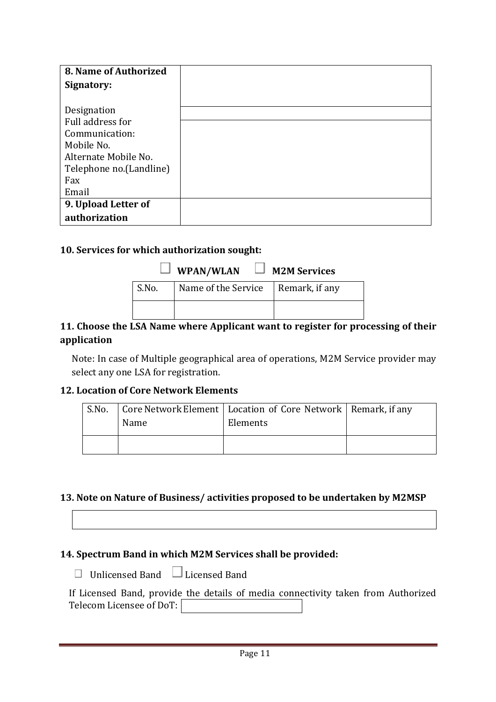| 8. Name of Authorized    |
|--------------------------|
| Signatory:               |
|                          |
| Designation              |
| Full address for         |
| Communication:           |
| Mobile No.               |
| Alternate Mobile No.     |
| Telephone no. (Landline) |
| Fax                      |
| Email                    |
| 9. Upload Letter of      |
| authorization            |

## 10. Services for which authorization sought:

|       | $\Box$ WPAN/WLAN $\Box$ M2M Services |  |
|-------|--------------------------------------|--|
| S.No. | Name of the Service Remark, if any   |  |
|       |                                      |  |

# **11. Choose the LSA Name where Applicant want to register for processing of their application**

Note: In case of Multiple geographical area of operations, M2M Service provider may select any one LSA for registration.

# **12. Location of Core Network Elements**

| S.No. | Name | Core Network Element   Location of Core Network   Remark, if any<br>Elements |  |
|-------|------|------------------------------------------------------------------------------|--|
|       |      |                                                                              |  |

# **13.** Note on Nature of Business/ activities proposed to be undertaken by M2MSP

# 14. Spectrum Band in which M2M Services shall be provided:

 $\Box$  Unlicensed Band  $\Box$  Licensed Band

| If Licensed Band, provide the details of media connectivity taken from Authorized |  |  |  |
|-----------------------------------------------------------------------------------|--|--|--|
| Telecom Licensee of DoT:                                                          |  |  |  |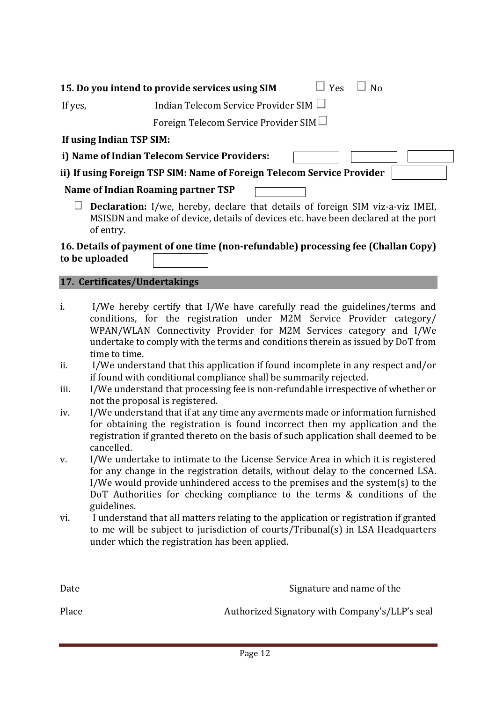|                                                                        | 15. Do you intend to provide services using SIM<br>$\Box$ Yes<br>N <sub>0</sub> |  |
|------------------------------------------------------------------------|---------------------------------------------------------------------------------|--|
| If yes,                                                                | Indian Telecom Service Provider SIM $\Box$                                      |  |
|                                                                        | Foreign Telecom Service Provider SIM $\Box$                                     |  |
| If using Indian TSP SIM:                                               |                                                                                 |  |
| i) Name of Indian Telecom Service Providers:                           |                                                                                 |  |
| ii) If using Foreign TSP SIM: Name of Foreign Telecom Service Provider |                                                                                 |  |
|                                                                        | Name of Indian Roaming partner TSP                                              |  |
|                                                                        |                                                                                 |  |

 $\Box$  **Declaration:** I/we, hereby, declare that details of foreign SIM viz-a-viz IMEI, MSISDN and make of device, details of devices etc. have been declared at the port of entry.

# **16.** Details of payment of one time (non-refundable) processing fee (Challan Copy) to be uploaded

# **17. Certificates/Undertakings**

- i. I/We hereby certify that I/We have carefully read the guidelines/terms and conditions, for the registration under M2M Service Provider category/ WPAN/WLAN Connectivity Provider for M2M Services category and I/We undertake to comply with the terms and conditions therein as issued by DoT from time to time.
- ii. I/We understand that this application if found incomplete in any respect and/or if found with conditional compliance shall be summarily rejected.
- iii. I/We understand that processing fee is non-refundable irrespective of whether or not the proposal is registered.
- iv. I/We understand that if at any time any averments made or information furnished for obtaining the registration is found incorrect then my application and the registration if granted thereto on the basis of such application shall deemed to be cancelled.
- v. I/We undertake to intimate to the License Service Area in which it is registered for any change in the registration details, without delay to the concerned LSA. I/We would provide unhindered access to the premises and the system(s) to the DoT Authorities for checking compliance to the terms  $&$  conditions of the guidelines.
- vi. I understand that all matters relating to the application or registration if granted to me will be subject to jurisdiction of courts/Tribunal(s) in LSA Headquarters under which the registration has been applied.

| Date  | Signature and name of the                      |
|-------|------------------------------------------------|
| Place | Authorized Signatory with Company's/LLP's seal |